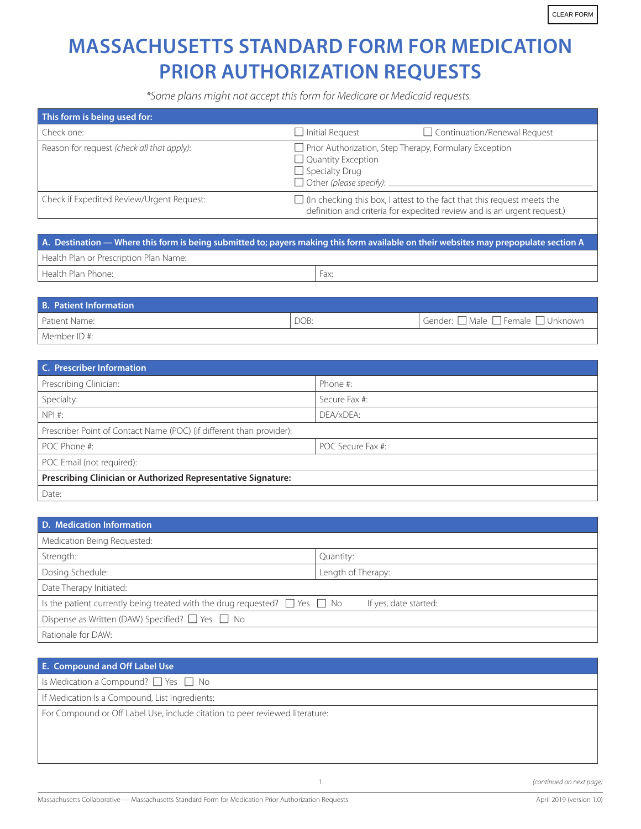## **MASSACHUSETTS STANDARD FORM FOR MEDICATION PRIOR AUTHORIZATION REQUESTS**

*\*Some plans might not accept this form for Medicare or Medicaid requests.*

| This form is being used for:               |                                                                                                                                                              |                                                                                                                                                           |  |  |
|--------------------------------------------|--------------------------------------------------------------------------------------------------------------------------------------------------------------|-----------------------------------------------------------------------------------------------------------------------------------------------------------|--|--|
| Check one:                                 | $\Box$ Initial Request                                                                                                                                       | Continuation/Renewal Request                                                                                                                              |  |  |
| Reason for request (check all that apply): | $\Box$ Prior Authorization, Step Therapy, Formulary Exception<br>$\Box$ Quantity Exception<br>$\Box$ Specialty Drug<br>$\Box$ Other (please specify): $\Box$ |                                                                                                                                                           |  |  |
| Check if Expedited Review/Urgent Request:  |                                                                                                                                                              | $\Box$ (In checking this box, I attest to the fact that this request meets the<br>definition and criteria for expedited review and is an urgent request.) |  |  |

| A. Destination — Where this form is being submitted to; payers making this form available on their websites may prepopulate section A |      |  |  |
|---------------------------------------------------------------------------------------------------------------------------------------|------|--|--|
| Health Plan or Prescription Plan Name:                                                                                                |      |  |  |
| Health Plan Phone:                                                                                                                    | Fax: |  |  |

| <b>B. Patient Information</b> |      |                                   |
|-------------------------------|------|-----------------------------------|
| Patient Name:                 | DOB: | Gender: □ Male □ Female □ Unknown |
| Member ID #:                  |      |                                   |

| <b>C. Prescriber Information</b>                                     |                   |  |  |
|----------------------------------------------------------------------|-------------------|--|--|
| Prescribing Clinician:                                               | Phone #:          |  |  |
| Specialty:                                                           | Secure Fax #:     |  |  |
| NPI #:                                                               | DEA/xDEA:         |  |  |
| Prescriber Point of Contact Name (POC) (if different than provider): |                   |  |  |
| POC Phone #:                                                         | POC Secure Fax #: |  |  |
| POC Email (not required):                                            |                   |  |  |
| Prescribing Clinician or Authorized Representative Signature:        |                   |  |  |
| Date:                                                                |                   |  |  |

| D. Medication Information                                                                                     |                    |  |  |  |
|---------------------------------------------------------------------------------------------------------------|--------------------|--|--|--|
| Medication Being Requested:                                                                                   |                    |  |  |  |
| Strength:                                                                                                     | Quantity:          |  |  |  |
| Dosing Schedule:                                                                                              | Length of Therapy: |  |  |  |
| Date Therapy Initiated:                                                                                       |                    |  |  |  |
| Is the patient currently being treated with the drug requested? $\Box$ Yes $\Box$ No<br>If yes, date started: |                    |  |  |  |
| Dispense as Written (DAW) Specified? $\Box$ Yes $\Box$ No                                                     |                    |  |  |  |
| Rationale for DAW:                                                                                            |                    |  |  |  |

| E. Compound and Off Label Use                                                |
|------------------------------------------------------------------------------|
| Is Medication a Compound? $\Box$ Yes $\Box$ No                               |
| If Medication Is a Compound, List Ingredients:                               |
| For Compound or Off Label Use, include citation to peer reviewed literature: |
|                                                                              |
|                                                                              |
|                                                                              |

H

1 *(continued on next page)*